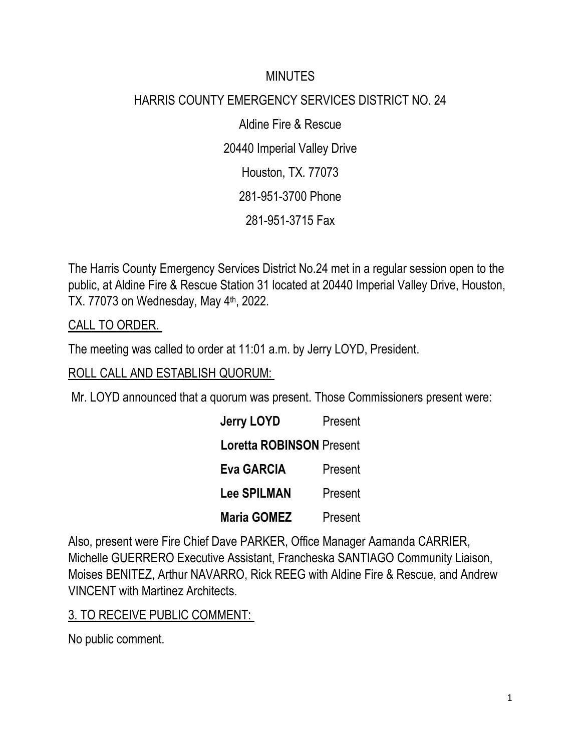#### **MINUTES**

# HARRIS COUNTY EMERGENCY SERVICES DISTRICT NO. 24

Aldine Fire & Rescue 20440 Imperial Valley Drive Houston, TX. 77073 281-951-3700 Phone 281-951-3715 Fax

The Harris County Emergency Services District No.24 met in a regular session open to the public, at Aldine Fire & Rescue Station 31 located at 20440 Imperial Valley Drive, Houston, TX. 77073 on Wednesday, May 4<sup>th</sup>, 2022.

CALL TO ORDER.

The meeting was called to order at 11:01 a.m. by Jerry LOYD, President.

ROLL CALL AND ESTABLISH QUORUM:

Mr. LOYD announced that a quorum was present. Those Commissioners present were:

| <b>Jerry LOYD</b>               | Present |
|---------------------------------|---------|
| <b>Loretta ROBINSON Present</b> |         |
| <b>Eva GARCIA</b>               | Present |
| <b>Lee SPILMAN</b>              | Present |
| <b>Maria GOMEZ</b>              | Present |

Also, present were Fire Chief Dave PARKER, Office Manager Aamanda CARRIER, Michelle GUERRERO Executive Assistant, Francheska SANTIAGO Community Liaison, Moises BENITEZ, Arthur NAVARRO, Rick REEG with Aldine Fire & Rescue, and Andrew VINCENT with Martinez Architects.

### 3. TO RECEIVE PUBLIC COMMENT:

No public comment.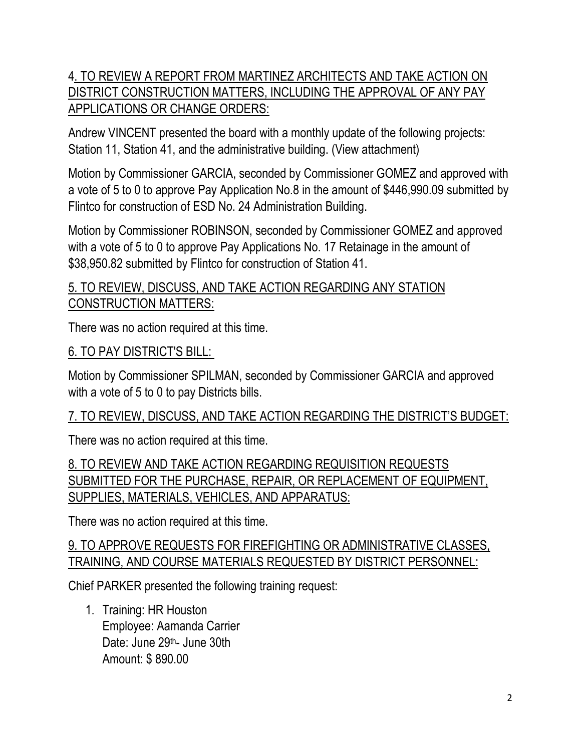# 4. TO REVIEW A REPORT FROM MARTINEZ ARCHITECTS AND TAKE ACTION ON DISTRICT CONSTRUCTION MATTERS, INCLUDING THE APPROVAL OF ANY PAY APPLICATIONS OR CHANGE ORDERS:

Andrew VINCENT presented the board with a monthly update of the following projects: Station 11, Station 41, and the administrative building. (View attachment)

Motion by Commissioner GARCIA, seconded by Commissioner GOMEZ and approved with a vote of 5 to 0 to approve Pay Application No.8 in the amount of \$446,990.09 submitted by Flintco for construction of ESD No. 24 Administration Building.

Motion by Commissioner ROBINSON, seconded by Commissioner GOMEZ and approved with a vote of 5 to 0 to approve Pay Applications No. 17 Retainage in the amount of \$38,950.82 submitted by Flintco for construction of Station 41.

### 5. TO REVIEW, DISCUSS, AND TAKE ACTION REGARDING ANY STATION CONSTRUCTION MATTERS:

There was no action required at this time.

#### 6. TO PAY DISTRICT'S BILL:

Motion by Commissioner SPILMAN, seconded by Commissioner GARCIA and approved with a vote of 5 to 0 to pay Districts bills.

#### 7. TO REVIEW, DISCUSS, AND TAKE ACTION REGARDING THE DISTRICT'S BUDGET:

There was no action required at this time.

8. TO REVIEW AND TAKE ACTION REGARDING REQUISITION REQUESTS SUBMITTED FOR THE PURCHASE, REPAIR, OR REPLACEMENT OF EQUIPMENT, SUPPLIES, MATERIALS, VEHICLES, AND APPARATUS:

There was no action required at this time.

#### 9. TO APPROVE REQUESTS FOR FIREFIGHTING OR ADMINISTRATIVE CLASSES, TRAINING, AND COURSE MATERIALS REQUESTED BY DISTRICT PERSONNEL:

Chief PARKER presented the following training request:

1. Training: HR Houston Employee: Aamanda Carrier Date: June 29<sup>th</sup>- June 30th Amount: \$ 890.00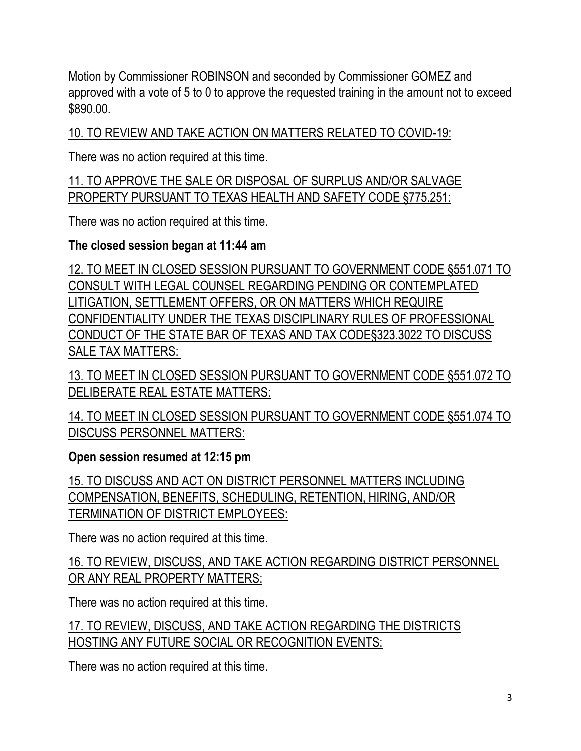Motion by Commissioner ROBINSON and seconded by Commissioner GOMEZ and approved with a vote of 5 to 0 to approve the requested training in the amount not to exceed \$890.00.

10. TO REVIEW AND TAKE ACTION ON MATTERS RELATED TO COVID-19:

There was no action required at this time.

11. TO APPROVE THE SALE OR DISPOSAL OF SURPLUS AND/OR SALVAGE PROPERTY PURSUANT TO TEXAS HEALTH AND SAFETY CODE §775.251:

There was no action required at this time.

# **The closed session began at 11:44 am**

12. TO MEET IN CLOSED SESSION PURSUANT TO GOVERNMENT CODE §551.071 TO CONSULT WITH LEGAL COUNSEL REGARDING PENDING OR CONTEMPLATED LITIGATION, SETTLEMENT OFFERS, OR ON MATTERS WHICH REQUIRE CONFIDENTIALITY UNDER THE TEXAS DISCIPLINARY RULES OF PROFESSIONAL CONDUCT OF THE STATE BAR OF TEXAS AND TAX CODE§323.3022 TO DISCUSS SALE TAX MATTERS:

13. TO MEET IN CLOSED SESSION PURSUANT TO GOVERNMENT CODE §551.072 TO DELIBERATE REAL ESTATE MATTERS:

14. TO MEET IN CLOSED SESSION PURSUANT TO GOVERNMENT CODE §551.074 TO DISCUSS PERSONNEL MATTERS:

### **Open session resumed at 12:15 pm**

15. TO DISCUSS AND ACT ON DISTRICT PERSONNEL MATTERS INCLUDING COMPENSATION, BENEFITS, SCHEDULING, RETENTION, HIRING, AND/OR TERMINATION OF DISTRICT EMPLOYEES:

There was no action required at this time.

16. TO REVIEW, DISCUSS, AND TAKE ACTION REGARDING DISTRICT PERSONNEL OR ANY REAL PROPERTY MATTERS:

There was no action required at this time.

17. TO REVIEW, DISCUSS, AND TAKE ACTION REGARDING THE DISTRICTS HOSTING ANY FUTURE SOCIAL OR RECOGNITION EVENTS:

There was no action required at this time.